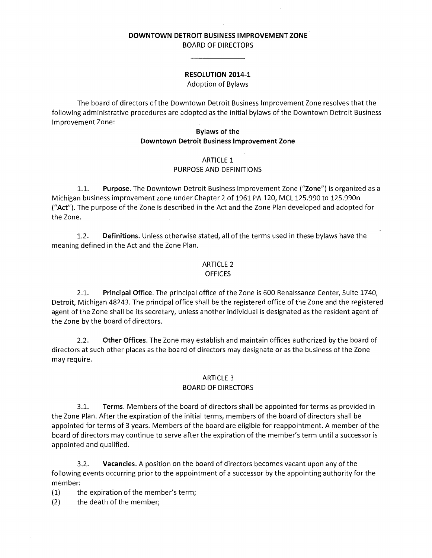#### **DOWNTOWN DETROIT BUSINESS IMPROVEMENT ZONE**  BOARD OF DIRECTORS

# **RESOLUTION 2014-1**

Adoption of Bylaws

The board of directors of the Downtown Detroit Business Improvement Zone resolves that the following administrative procedures are adopted as the initial bylaws ofthe Downtown Detroit Business Improvement Zone:

#### **Bylaws of the Downtown Detroit Business Improvement Zone**

# ARTICLE 1

# PURPOSE AND DEFINITIONS

1.1. **Purpose.** The Downtown Detroit Business Improvement Zone **("Zone")** is organized as a Michigan business improvement zone under Chapter 2 of 1961 PA 120, MCL 125.990 to 125.990n **("Act").** The purpose of the Zone is described in the Act and the Zone Plan developed and adopted for the Zone.

1.2. **Definitions.** Unless otherwise stated, all ofthe terms used in these bylaws have the meaning defined in the Act and the Zone Plan.

#### ARTICLE 2 **OFFICES**

2.1. **Principal Office.** The principal office ofthe Zone is 600 Renaissance Center, Suite 1740, Detroit, Michigan 48243. The principal office shall be the registered office of the Zone and the registered agent of the Zone shall be its secretary, unless another individual is designated as the resident agent of the Zone by the board of directors.

2.2. **Other Offices.** The Zone may establish and maintain offices authorized by the board of directors at such other places as the board of directors may designate or as the business ofthe Zone may require.

# ARTICLE 3

# BOARD OF DIRECTORS

3.1. **Terms.** Members ofthe board of directors shall be appointed for terms as provided in the Zone Plan. After the expiration of the initial terms, members of the board of directors shall be appointed for terms of 3 years. Members of the board are eligible for reappointment. A member of the board of directors may continue to serve after the expiration of the member's term until a successor is appointed and qualified.

3.2. **Vacancies.** A position on the board of directors becomes vacant upon any ofthe following events occurring prior to the appointment of a successor by the appointing authority for the member:

 $(1)$  the expiration of the member's term;

(2) the death of the member;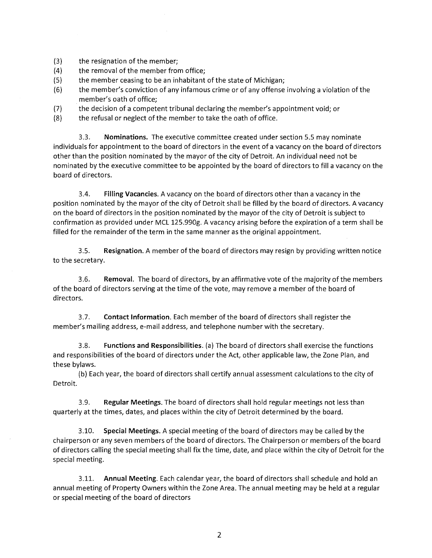- $(3)$  the resignation of the member;
- (4) the removal of the member from office;
- (5) the member ceasing to be an inhabitant of the state of Michigan;
- (6) the member's conviction of any infamous crime or of any offense involving a violation ofthe member's oath of office; (3) the resignation of the member;<br>
(4) the removal of the member from office;<br>
(5) the member ceasing to be an inhabitant of the state of Michigan;<br>
(6) the member's conviction of any infamous crime or of any offense inv
- (7) the decision of a competent tribunal declaring the member's appointment void; or
- $(8)$  the refusal or neglect of the member to take the oath of office.

3.3. **Nominations.** The executive committee created under section 5.5 may nominate individuals for appointment to the board of directors in the event of a vacancy on the board of directors other than the position nominated by the mayor of the city of Detroit. An individual need not be nominated by the executive committee to be appointed by the board of directors to fill a vacancy on the board of directors. individuals for appointment to the board of directors in the event of a vacancy on the board of directors<br>other than the position nominated by the mayor of the city of Detroit. An individual need not be<br>nominated by the ex

3.4. **Filling Vacancies.** A vacancy on the board of directors other than a vacancy in the on the board of directors in the position nominated by the mayor ofthe city of Detroit is subject to confirmation as provided under MCL 125.990g. A vacancy arising before the expiration of a term shall be filled for the remainder of the term in the same manner as the original appointment. on the board of directors in the position nominated by the mayor of the city of Detroit is subject to<br>confirmation as provided under MCL 125.990g. A vacancy arising before the expiration of a term shall be<br>filled for the r

3.5. **Resignation.** A member of the board of directors may resign by providing written notice to the secretary.

3.6. **Removal**. The board of directors, by an affirmative vote of the majority of the members of the board of directors serving at the time of the vote, may remove a member of the board of<br>directors.<br>3.7. **Contact Information**. Each member of the board of directors shall register the directors.

3.7. **Contact Information.** Each member of the board of directors shall register the member's mailing address, e-mail address, and telephone number with the secretary. member's mailing address, e-mail address, and telephone number with the secretary.

3.8. **Functions and Responsibilities.** (a) The board of directors shall exercise the functions and responsibilities of the board of directors under the Act, other applicable law, the Zone Plan, and these bylaws. 3.8. Functions and Responsibilities. (a) The board of directors shall exercise the functions<br>and responsibilities of the board of directors under the Act, other applicable law, the Zone Plan, and<br>these bylaws.<br>(b) Each yea

(b) Each year, the board of directors shall certify annual assessment calculations to the city of Detroit.

3.9. **Regular Meetings.** The board of directors shall hold regular meetings not less than quarterly at the times, dates, and places within the city of Detroit determined by the board. quarterly at the times, dates, and places within the city of Detroit determined by the board.

3.10. **Special Meetings.** A special meeting of the board of directors may be called by the 3.10. Special Meetings. A special meeting of the board of directors may be called by the<br>chairperson or any seven members of the board of directors. The Chairperson or members of the board of directors calling the special meeting shall fix the time, date, and place within the city of Detroit for the<br>special meeting.<br>3.11. Annual Meeting. Each calendar year, the board of directors shall schedule and hold special meeting.

3.11. **Annual Meeting.** Each calendar year, the board of directors shall schedule and hold an annual meeting of Property Owners within the Zone Area. The annual meeting may be held at a regular annual meeting of Property Owners within the Zone Area. The annual meeting may be held at a regular or special meeting of the board of directors or special meeting of the board of directors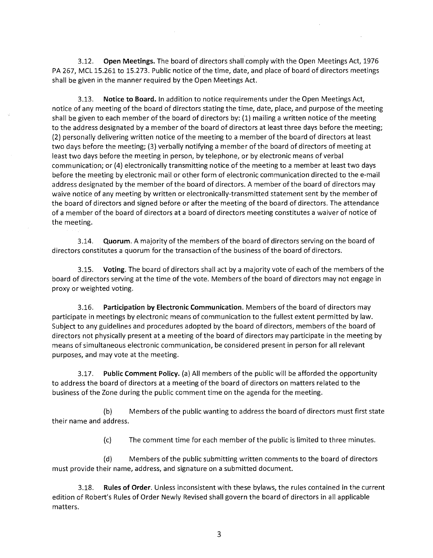3.12. **Open Meetings.** The board of directors shall comply with the Open Meetings Act, 1976 PA 267, MCL 15.261 to 15.273. Public notice of the time, date, and place of board of directors meetings shall be given in the manner required by the Open Meetings Act.

3.13. **Notice to Board.** In addition to notice requirements under the Open Meetings Act, notice of any meeting of the board of directors stating the time, date, place, and purpose of the meeting shall be given to each member of the board of directors by:  $(1)$  mailing a written notice of the meeting to the address designated by a member of the board of directors at least three days before the meeting; (2) personally delivering written notice ofthe meeting to a member ofthe board of directors at least two days before the meeting; (3) verbally notifying a member of the board of directors of meeting at least two days before the meeting in person, by telephone, or by electronic means of verbal communication; or (4) electronically transmitting notice of the meeting to a member at least two days before the meeting by electronic mail or other form of electronic communication directed to the e-mail address designated by the member of the board of directors. A member of the board of directors may waive notice of any meeting by written or electronically-transmitted statement sent by the member of the board of directors and signed before or after the meeting of the board of directors. The attendance of a member ofthe board of directors at a board of directors meeting constitutes a waiver of notice of the meeting. 3.13. **Open Meetings.** The board of directors shall comply with the Open Meetings.<br>And D. 2273. Public notice of the time, date, and place of board of director<br>given in the manner required by the Open Meetings Act.<br>The man

3.14. **Quorum.** A majority of the members of the board of directors serving on the board of directors constitutes a quorum for the transaction of the business of the board of directors.

3.15. **Voting.** The board of directors shall act by a majority vote of each of the members ofthe board of directors serving at the time of the vote. Members of the board of directors may not engage in proxy or weighted voting.

3.16. **Participation by Electronic Communication.** Members ofthe board of directors may participate in meetings by electronic means of communication to the fullest extent permitted by law. Subject to any guidelines and procedures adopted by the board of directors, members of the board of directors not physically present at a meeting of the board of directors may participate in the meeting by means of simultaneous electronic communication, be considered present in person for all relevant purposes, and may vote at the meeting.

3.17. **Public Comment Policy.** (a) All members of the public will be afforded the opportunity to address the board of directors at a meeting of the board of directors on matters related to the business ofthe Zone during the public comment time on the agenda for the meeting.

(b) Members ofthe public wanting to address the board of directors must first state their name and address.

(c) The comment time for each member of the public is limited to three minutes.

(d) Members ofthe public submitting written comments to the board of directors must provide their name, address, and signature on a submitted document.

3.18. **Rules of Order.** Unless inconsistent with these bylaws, the rules contained in the current edition of Robert's Rules of Order Newly Revised shall govern the board of directors in all applicable matters.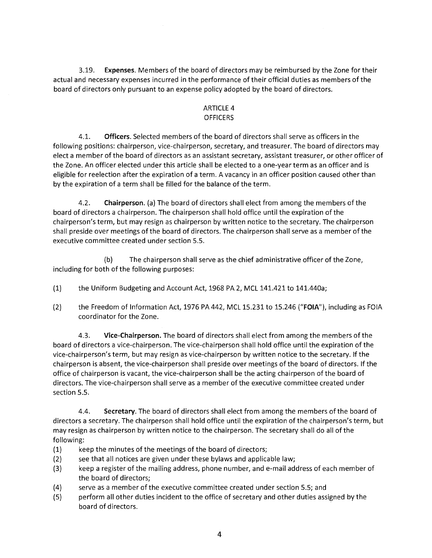3.19. **Expenses.** Members of the board of directors may be reimbursed by the Zone for their actual and necessary expenses incurred in the performance of their official duties as members of the board of directors only pursuant to an expense policy adopted by the board of directors.

#### ARTICLE 4 **OFFICERS**

4.1. **Officers.** Selected members of the board of directors shall serve as officers in the following positions: chairperson, vice-chairperson, secretary, and treasurer. The board of directors may elect a member of the board of directors as an assistant secretary, assistant treasurer, or other officer of the Zone. An officer elected under this article shall be elected to a one-year term as an officer and is eligible for reelection after the expiration of a term. A vacancy in an officer position caused other than by the expiration of a term shall be filled for the balance of the term.

4.2. **Chairperson.** (a) The board of directors shall elect from among the members ofthe board of directors a chairperson. The chairperson shall hold office until the expiration ofthe chairperson's *term,* but may resign as chairperson by written notice to the secretary. The chairperson shall preside over meetings of the board of directors. The chairperson shall serve as a member of the executive committee created under section 5.5.

(b) The chairperson shall serve as the chief administrative officer of the Zone, including for both of the following purposes:

- (1) the Uniform Budgeting and Account Act, 1968 PA *2,* MCL 141.421 to 141.440a;
- (2) the Freedom of Information Act, 1976 PA 442, MCL 15.231 to 15.246 ("FOIA"), including as FOIA coordinator for the Zone.

4.3. **Vice-Chairperson.** The board of directors shall elect from among the members ofthe board of directors a vice-chairperson. The vice-chairperson shall hold office until the expiration of the vice-chairperson's *term,* but may resign as vice-chairperson by written notice to the secretary. If the chairperson is absent, the vice-chairperson shall preside over meetings of the board of directors. If the office of chairperson is vacant, the vice-chairperson shall be the acting chairperson of the board of directors. The vice-chairperson shall serve as a member of the executive committee created under section 5.5. Expenses. Meanwood the board of directors may be reminuisted by the Zone for their stassary expenses incurred in the performance of their official duties as members of the Dots only pursuant to an expense policy adopted by

4.4. **Secretary.** The board of directors shall elect from among the members ofthe board of directors a secretary. The chairperson shall hold office until the expiration of the chairperson's *term,* but may resign as chairperson by written notice to the chairperson. The secretary shall do all ofthe following:

- (1) keep the minutes of the meetings of the board of directors;
- (2) see that all notices are given under these bylaws and applicable law;
- (3) keep a register ofthe mailing address, phone number, and e-mail address of each member of the board of directors;
- (4) serve as a member ofthe executive committee created under section 5.5; and
- (5) perform all other duties incident to the office of secretary and other duties assigned by the board of directors.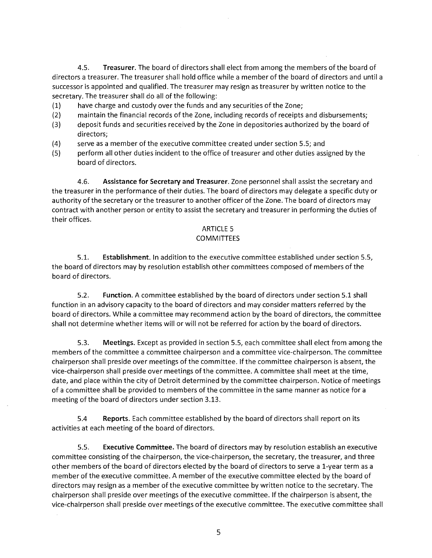4.5. **Treasurer.** The board of directors shall elect from among the members of the board of directors a treasurer. The treasurer shall hold office while a member of the board of directors and until a successor is appointed and qualified. The treasurer may resign as treasurer by written notice to the secretary. The treasurer shall do all of the following:

- (1) have charge and custody over the funds and any securities of the Zone;
- (2) maintain the financial records of the Zone, including records of receipts and disbursements;
- (3) deposit funds and securities received by the Zone in depositories authorized by the board of directors;
- (4) serve as a member of the executive committee created under section 5.5; and
- (5) perform all other duties incident to the office of treasurer and other duties assigned by the board of directors.

4.6. **Assistance for Secretary and Treasurer.** Zone personnel shall assist the secretary and the treasurer in the performance of their duties. The board of directors may delegate a specific duty or authority of the secretary or the treasurer to another officer of the Zone. The board of directors may contract with another person or entity to assist the secretary and treasurer in performing the duties of their offices.

#### ARTICLE 5

### **COMMITTEES**

5.1. **Establishment.** In addition to the executive committee established under section 5.5, the board of directors may by resolution establish other committees composed of members of the board of directors.

5.2. **Function.** A committee established by the board of directors under section 5.1 shall function in an advisory capacity to the board of directors and may consider matters referred by the board of directors. While a committee may recommend action by the board of directors, the committee shall not determine whether items will or will not be referred for action by the board of directors.

5.3. **Meetings.** Except as provided in section 5.5, each committee shall elect from among the members of the committee a committee chairperson and a committee vice-chairperson. The committee chairperson shall preside over meetings of the committee. If the committee chairperson is absent, the vice-chairperson shall preside over meetings of the committee. A committee shall meet at the time, date, and place within the city of Detroit determined by the committee chairperson. Notice of meetings of a committee shall be provided to members of the committee in the same manner as notice for a meeting of the board of directors under section 3.13. Treasurer. The board of directors shall eurer shall hold office whill<br>nointed and qualified. The treasurer may<br>reasurer shall do all of the following:<br>arge and custody over the funds and any<br>the financial records of the Zo

5.4 **Reports.** Each committee established by the board of directors shall report on its activities at each meeting of the board of directors.

5.5. **Executive Committee.** The board of directors may by resolution establish an executive committee consisting of the chairperson, the vice-chairperson, the secretary, the treasurer, and three other members of the board of directors elected by the board of directors to serve a 1-year term as a member of the executive committee. A member of the executive committee elected by the board of directors may resign as a member of the executive committee by written notice to the secretary. The chairperson shall preside over meetings of the executive committee. If the chairperson is absent, the vice-chairperson shall preside over meetings of the executive committee. The executive committee shall

5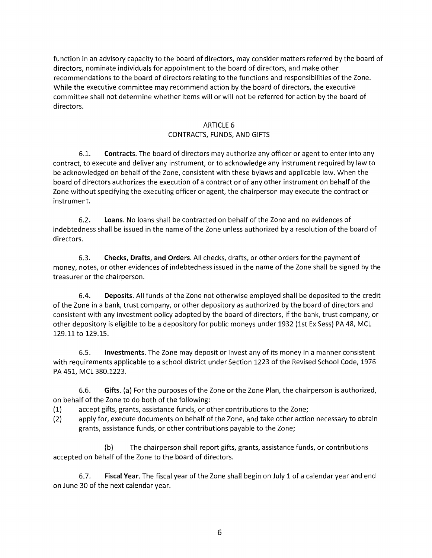function in an advisory capacity to the board of directors, may consider matters referred by the board of directors, nominate individuals for appointment to the board of directors, and make other recommendations to the board of directors relating to the functions and responsibilities of the Zone. While the executive committee may recommend action by the board of directors, the executive committee shall not determine whether items will or will not be referred for action by the board of directors.

#### ARTICLE 6

# CONTRACTS, FUNDS, AND GIFTS

6.1. **Contracts.** The board of directors may authorize any officer or agent to enter into any contract, to execute and deliver any instrument, or to acknowledge any instrument required by law to be acknowledged on behalf of the Zone, consistent with these bylaws and applicable law. When the board of directors authorizes the execution of a contract or of any other instrument on behalf of the Zone without specifying the executing officer or agent, the chairperson may execute the contract or instrument. divisory capacity to the board of directors, any consider matters referred by the board<br>tracts individuals for appointment to the board of directors, and make other<br>ms to the board of directors relating to the functions an

6.2. **Loans.** No loans shall be contracted on behalf of the Zone and no evidences of indebtedness shall be issued in the name of the Zone unless authorized by a resolution of the board of directors.

6.3. **Checks, Drafts, and Orders.** All checks, drafts, or other orders for the payment of money, notes, or other evidences of indebtedness issued in the name of the Zone shall be signed by the treasurer or the chairperson.

6.4. **Deposits.** All funds of the Zone not otherwise employed shall be deposited to the credit of the Zone in a bank, trust company, or other depository as authorized by the board of directors and consistent with any investment policy adopted by the board of directors, ifthe bank, trust company, or other depository is eligible to be a depository for public moneys under 1932 (1st Ex Sess) PA 48, MCL 129.11 to 129.15.

6.5. **Investments.** The Zone may deposit or invest any of its money in a manner consistent with requirements applicable to a school district under Section 1223 ofthe Revised School Code, 1976 PA 451, MCL 380.1223. 6.5. **Investments**<br>uirements applicable<br>MCL 380.1223.<br>6.6. **Gifts**. (a) For t<br>If of the Zone to do be<br>accept gifts, grants, as<br>apply for, execute doc<br>grants, assistance fund<br>(b) The cl<br>d on behalf of the Zon<br>6.7. **Fiscal Y** 

6.6. **Gifts.** (a) For the purposes of the Zone or the Zone Plan, the chairperson is authorized, on behalf of the Zone to do both of the following:

(1) accept gifts, grants, assistance funds, or other contributions to the Zone;

(2) apply for, execute documents on behalf ofthe Zone, and take other action necessary to obtain grants, assistance funds, or other contributions payable to the Zone;

(b) The chairperson shall report gifts, grants, assistance funds, or contributions accepted on behalf of the Zone to the board of directors.

6.7. **Fiscal Year.** The fiscal year of the Zone shall begin on July 1 of a calendar year and end on June 30 of the next calendar year.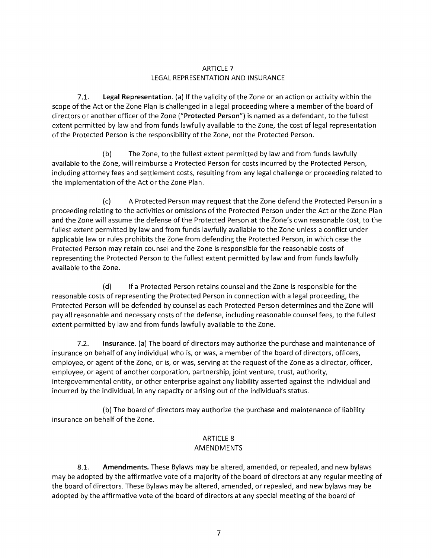# ARTICLE 7 LEGAL REPRESENTATION AND INSURANCE

LEGAL REPRESENTATION AND INSURANCE<br>7.1. **Legal Representation**. (a) If the validity of the Zone or an action or activity within the scope of the Act or the Zone Plan is challenged in a legal proceeding where a member of the board of directors or another officer of the Zone ("Protected Person") is named as a defendant, to the fullest extent permitted by law and from funds lawfully available to the Zone, the cost of legal representation of the Protected Person is the responsibility of the Zone, not the Protected Person.

(b) The Zone, to the fullest extent permitted by law and from funds lawfully available to the Zone, will reimburse a Protected Person for costs incurred by the Protected Person, including attorney fees and settlement costs, resulting from any legal challenge or proceeding related to the implementation of the Act or the Zone Plan.

(c) A Protected Person may request that the Zone defend the Protected Person in a proceeding relating to the activities or omissions of the Protected Person under the Act or the Zone Plan and the Zone will assume the defense of the Protected Person at the Zone's own reasonable cost, to the fullest extent permitted by law and from funds lawfully available to the Zone unless a conflict under applicable law or rules prohibits the Zone from defending the Protected Person, in which case the Protected Person may retain counsel and the Zone is responsible for the reasonable costs of representing the Protected Person to the fullest extent permitted by law and from funds lawfully available to the Zone. of the Protected Person is the responsibility of the Zone, not the Protected Perso<br>
(b) The Zone, to the fullest extent permitted by law and fron<br>
available to the Zone, will reimburse a Protected Person for costs incurred

(d) If a Protected Person retains counsel and the Zone is responsible for the reasonable costs of representing the Protected Person in connection with a legal proceeding, the Protected Person will be defended by counsel as each Protected Person determines and the Zone will pay all reasonable and necessary costs of the defense, including reasonable counsel fees, to the fullest extent permitted by law and from funds lawfully available to the Zone.

7.2. **Insurance.** (a) The board of directors may authorize the purchase and maintenance of insurance on behalf of any individual who is, or was, a member of the board of directors, officers, employee, or agent of the Zone, or is, or was, serving at the request of the Zone as a director, officer, employee, or agent of another corporation, partnership, joint venture, trust, authority, intergovernmental entity, or other enterprise against any liability asserted against the individual and incurred by the individual, in any capacity or arising out of the individual's status.

(b) The board of directors may authorize the purchase and maintenance of liability insurance on behalf of the Zone.

# ARTICLE 8

# AMENDMENTS

8.1. **Amendments.** These Bylaws may be altered, amended, or repealed, and new bylaws may be adopted by the affirmative vote of a majority of the board of directors at any regular meeting of the board of directors. These Bylaws may be altered, amended, or repealed, and new bylaws may be adopted by the affirmative vote of the board of directors at any special meeting of the board of